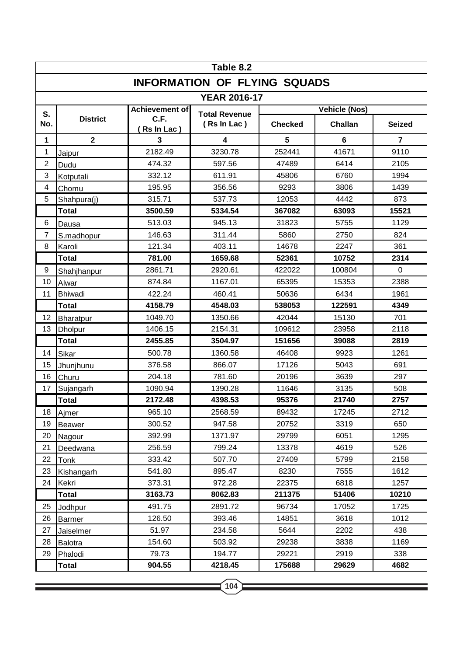| Table 8.2                           |                  |                    |                                     |                |         |               |  |  |  |  |  |
|-------------------------------------|------------------|--------------------|-------------------------------------|----------------|---------|---------------|--|--|--|--|--|
| <b>INFORMATION OF FLYING SQUADS</b> |                  |                    |                                     |                |         |               |  |  |  |  |  |
| <b>YEAR 2016-17</b>                 |                  |                    |                                     |                |         |               |  |  |  |  |  |
| S.                                  |                  | Achievement of     | <b>Total Revenue</b><br>(Rs In Lac) | Vehicle (Nos)  |         |               |  |  |  |  |  |
| No.                                 | <b>District</b>  | C.F.<br>Rs In Lac) |                                     | <b>Checked</b> | Challan | <b>Seized</b> |  |  |  |  |  |
| 1                                   | $\mathbf{2}$     | 3                  | 4                                   | 5              | 6       | 7             |  |  |  |  |  |
| 1                                   | Jaipur           | 2182.49            | 3230.78                             | 252441         | 41671   | 9110          |  |  |  |  |  |
| $\overline{2}$                      | Dudu             | 474.32             | 597.56                              | 47489          | 6414    | 2105          |  |  |  |  |  |
| 3                                   | Kotputali        | 332.12             | 611.91                              | 45806          | 6760    | 1994          |  |  |  |  |  |
| 4                                   | Chomu            | 195.95             | 356.56                              | 9293           | 3806    | 1439          |  |  |  |  |  |
| 5                                   | Shahpura(j)      | 315.71             | 537.73                              | 12053          | 4442    | 873           |  |  |  |  |  |
|                                     | <b>Total</b>     | 3500.59            | 5334.54                             | 367082         | 63093   | 15521         |  |  |  |  |  |
| 6                                   | Dausa            | 513.03             | 945.13                              | 31823          | 5755    | 1129          |  |  |  |  |  |
| $\overline{7}$                      | S.madhopur       | 146.63             | 311.44                              | 5860           | 2750    | 824           |  |  |  |  |  |
| 8                                   | Karoli           | 121.34             | 403.11                              | 14678          | 2247    | 361           |  |  |  |  |  |
|                                     | <b>Total</b>     | 781.00             | 1659.68                             | 52361          | 10752   | 2314          |  |  |  |  |  |
| 9                                   | Shahjhanpur      | 2861.71            | 2920.61                             | 422022         | 100804  | 0             |  |  |  |  |  |
| 10                                  | Alwar            | 874.84             | 1167.01                             | 65395          | 15353   | 2388          |  |  |  |  |  |
| 11                                  | <b>Bhiwadi</b>   | 422.24             | 460.41                              | 50636          | 6434    | 1961          |  |  |  |  |  |
|                                     | <b>Total</b>     | 4158.79            | 4548.03                             | 538053         | 122591  | 4349          |  |  |  |  |  |
| 12                                  | <b>Bharatpur</b> | 1049.70            | 1350.66                             | 42044          | 15130   | 701           |  |  |  |  |  |
| 13                                  | Dholpur          | 1406.15            | 2154.31                             | 109612         | 23958   | 2118          |  |  |  |  |  |
|                                     | <b>Total</b>     | 2455.85            | 3504.97                             | 151656         | 39088   | 2819          |  |  |  |  |  |
| 14                                  | Sikar            | 500.78             | 1360.58                             | 46408          | 9923    | 1261          |  |  |  |  |  |
| 15                                  | Jhunjhunu        | 376.58             | 866.07                              | 17126          | 5043    | 691           |  |  |  |  |  |
| 16                                  | Churu            | 204.18             | 781.60                              | 20196          | 3639    | 297           |  |  |  |  |  |
| 17                                  | Sujangarh        | 1090.94            | 1390.28                             | 11646          | 3135    | 508           |  |  |  |  |  |
|                                     | <b>Total</b>     | 2172.48            | 4398.53                             | 95376          | 21740   | 2757          |  |  |  |  |  |
| 18                                  | Ajmer            | 965.10             | 2568.59                             | 89432          | 17245   | 2712          |  |  |  |  |  |
| 19                                  | <b>Beawer</b>    | 300.52             | 947.58                              | 20752          | 3319    | 650           |  |  |  |  |  |
| 20                                  | Nagour           | 392.99             | 1371.97                             | 29799          | 6051    | 1295          |  |  |  |  |  |
| 21                                  | Deedwana         | 256.59             | 799.24                              | 13378          | 4619    | 526           |  |  |  |  |  |
| 22                                  | Tonk             | 333.42             | 507.70                              | 27409          | 5799    | 2158          |  |  |  |  |  |
| 23                                  | Kishangarh       | 541.80             | 895.47                              | 8230           | 7555    | 1612          |  |  |  |  |  |
| 24                                  | Kekri            | 373.31             | 972.28                              | 22375          | 6818    | 1257          |  |  |  |  |  |
|                                     | Total            | 3163.73            | 8062.83                             | 211375         | 51406   | 10210         |  |  |  |  |  |
| 25                                  | Jodhpur          | 491.75             | 2891.72                             | 96734          | 17052   | 1725          |  |  |  |  |  |
| 26                                  | <b>Barmer</b>    | 126.50             | 393.46                              | 14851          | 3618    | 1012          |  |  |  |  |  |
| 27                                  | Jaiselmer        | 51.97              | 234.58                              | 5644           | 2202    | 438           |  |  |  |  |  |
| 28                                  | <b>Balotra</b>   | 154.60             | 503.92                              | 29238          | 3838    | 1169          |  |  |  |  |  |
| 29                                  | Phalodi          | 79.73              | 194.77                              | 29221          | 2919    | 338           |  |  |  |  |  |
|                                     | <b>Total</b>     | 904.55             | 4218.45                             | 175688         | 29629   | 4682          |  |  |  |  |  |